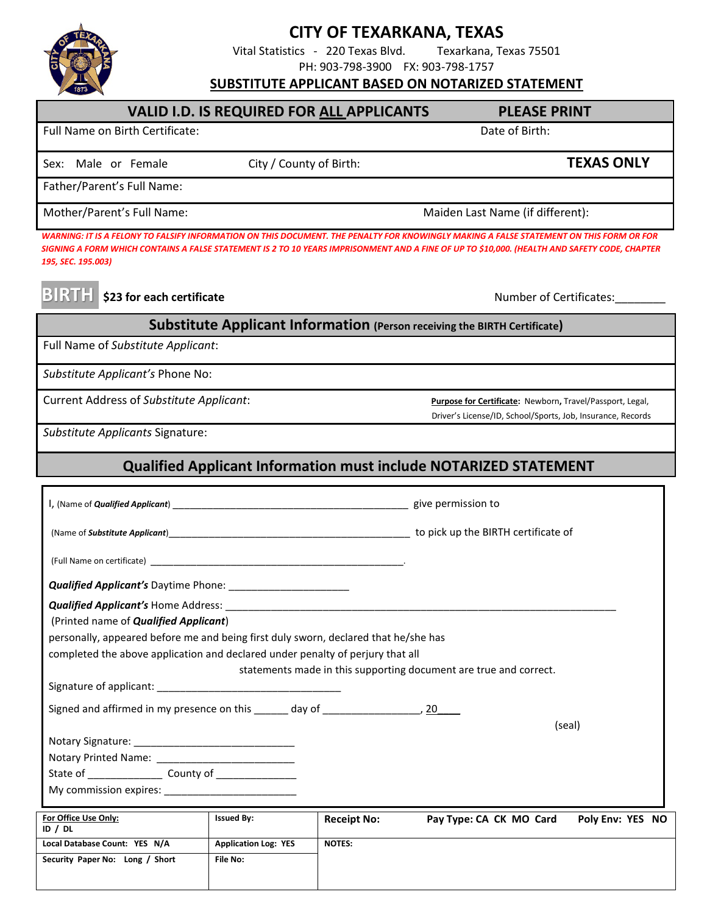

## **CITY OF TEXARKANA, TEXAS**

Vital Statistics - 220 Texas Blvd. Texarkana, Texas 75501

PH: 903-798-3900 FX: 903-798-1757

## **For Office Use Only: Issued By: Receipt No: Pay Type: CA CK MO Card Poly Env: YES NO SUBSTITUTE APPLICANT BASED ON NOTARIZED STATEMENT** VALID I.D. IS REQUIRED FOR ALL APPLICANTS PLEASE PRINT Full Name on Birth Certificate:  $\Box$  Date of Birth: Date of Birth: Date of Birth: Sex: Male or Female **City / County of Birth:** TEXAS ONLY Father/Parent's Full Name: Mother/Parent's Full Name: Mother/Parent's Full Name: Maiden Last Name (if different): *WARNING: IT IS A FELONY TO FALSIFY INFORMATION ON THIS DOCUMENT. THE PENALTY FOR KNOWINGLY MAKING A FALSE STATEMENT ON THIS FORM OR FOR SIGNING A FORM WHICH CONTAINS A FALSE STATEMENT IS 2 TO 10 YEARS IMPRISONMENT AND A FINE OF UP TO \$10,000. (HEALTH AND SAFETY CODE, CHAPTER 195, SEC. 195.003)* **BIRTH \$23 for each certificate Number of Certificates: Substitute Applicant Information (Person receiving the BIRTH Certificate)**  Full Name of *Substitute Applicant*: *Substitute Applicant's* Phone No: Current Address of *Substitute Applicant*: **Purpose for Certificate:** Newborn**,** Travel/Passport, Legal, Driver's License/ID, School/Sports, Job, Insurance, Records *Substitute Applicants* Signature: **Qualified Applicant Information must include NOTARIZED STATEMENT**  I, (Name of *Qualified Applicant*) \_\_\_\_\_\_\_\_\_\_\_\_\_\_\_\_\_\_\_\_\_\_\_\_\_\_\_\_\_\_\_\_\_\_\_\_\_\_\_\_\_ give permission to (Name of *Substitute Applicant*)\_\_\_\_\_\_\_\_\_\_\_\_\_\_\_\_\_\_\_\_\_\_\_\_\_\_\_\_\_\_\_\_\_\_\_\_\_\_\_\_\_\_ to pick up the BIRTH certificate of (Full Name on certificate) \_\_\_\_\_\_\_\_\_\_\_\_\_\_\_\_\_\_\_\_\_\_\_\_\_\_\_\_\_\_\_\_\_\_\_\_\_\_\_\_\_\_\_\_. *Qualified Applicant's* Daytime Phone: \_\_\_\_\_\_\_\_\_\_\_\_\_\_\_\_\_\_\_\_\_ **Qualified Applicant's Home Address:** (Printed name of *Qualified Applicant*) personally, appeared before me and being first duly sworn, declared that he/she has completed the above application and declared under penalty of perjury that all statements made in this supporting document are true and correct. Signature of applicant: \_\_\_\_\_\_\_\_\_\_\_\_\_\_\_\_\_\_\_\_\_\_\_\_\_\_\_\_\_\_\_\_ Signed and affirmed in my presence on this day of  $\frac{20}{9}$  (seal) Notary Signature: \_\_\_\_\_\_\_\_\_\_\_\_\_\_\_\_\_\_\_\_\_\_\_\_\_\_\_\_ Notary Printed Name: State of \_\_\_\_\_\_\_\_\_\_\_\_\_ County of \_\_\_\_\_\_\_\_\_\_\_\_\_\_ My commission expires:

| For Office Use Only:<br>ID / DL | <b>Issued By:</b>           | <b>Receipt No:</b> | Pay Type: CA CK MO Card | Poly Env: YES NO |
|---------------------------------|-----------------------------|--------------------|-------------------------|------------------|
| Local Database Count: YES N/A   | <b>Application Log: YES</b> | <b>NOTES:</b>      |                         |                  |
| Security Paper No: Long / Short | File No:                    |                    |                         |                  |